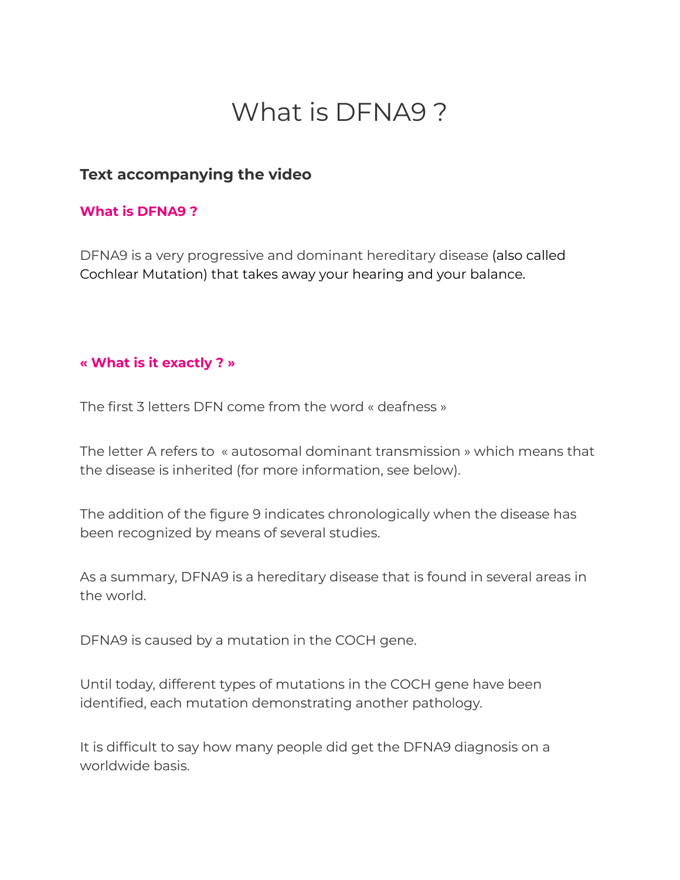# What is DFNA9 ?

## **Text accompanying the video**

#### **What is DFNA9 ?**

DFNA9 is a very progressive and dominant hereditary disease (also called Cochlear Mutation) that takes away your hearing and your balance.

## **« What is it exactly ? »**

The first 3 letters DFN come from the word « deafness »

The letter A refers to « autosomal dominant transmission » which means that the disease is inherited (for more information, see below).

The addition of the figure 9 indicates chronologically when the disease has been recognized by means of several studies.

As a summary, DFNA9 is a hereditary disease that is found in several areas in the world.

DFNA9 is caused by a mutation in the COCH gene.

Until today, different types of mutations in the COCH gene have been identified, each mutation demonstrating another pathology.

It is difficult to say how many people did get the DFNA9 diagnosis on a worldwide basis.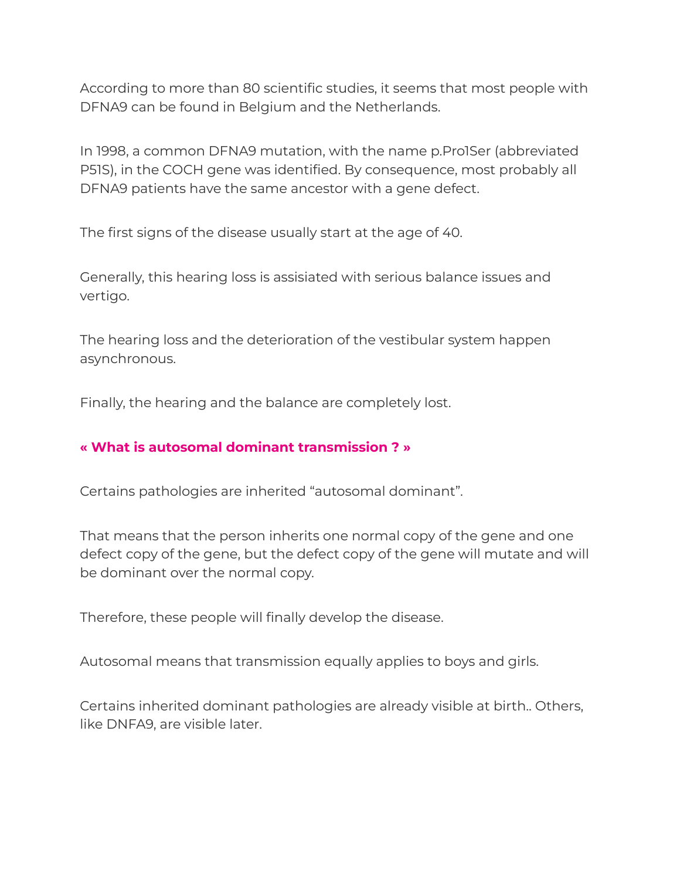According to more than 80 scientific studies, it seems that most people with DFNA9 can be found in Belgium and the Netherlands.

In 1998, a common DFNA9 mutation, with the name p.Pro1Ser (abbreviated P51S), in the COCH gene was identified. By consequence, most probably all DFNA9 patients have the same ancestor with a gene defect.

The first signs of the disease usually start at the age of 40.

Generally, this hearing loss is assisiated with serious balance issues and vertigo.

The hearing loss and the deterioration of the vestibular system happen asynchronous.

Finally, the hearing and the balance are completely lost.

## **« What is autosomal dominant transmission ? »**

Certains pathologies are inherited "autosomal dominant".

That means that the person inherits one normal copy of the gene and one defect copy of the gene, but the defect copy of the gene will mutate and will be dominant over the normal copy.

Therefore, these people will finally develop the disease.

Autosomal means that transmission equally applies to boys and girls.

Certains inherited dominant pathologies are already visible at birth.. Others, like DNFA9, are visible later.